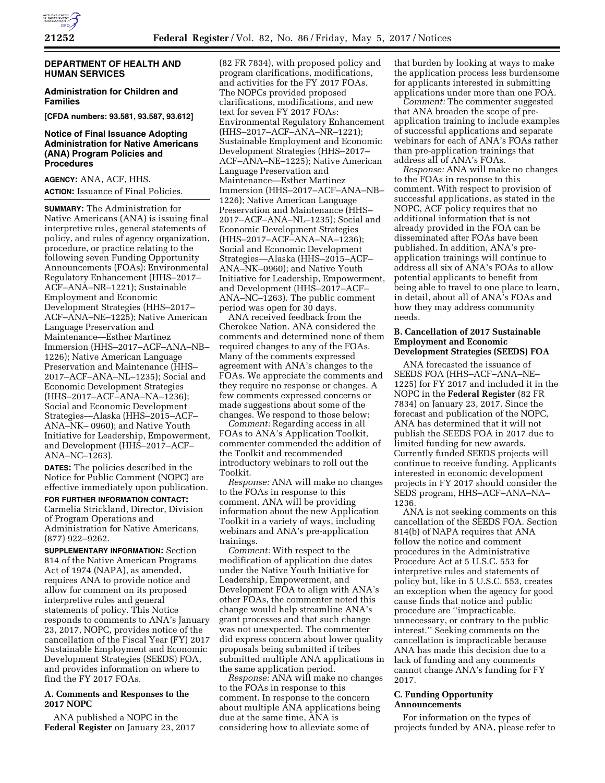

## **DEPARTMENT OF HEALTH AND HUMAN SERVICES**

# **Administration for Children and Families**

**[CFDA numbers: 93.581, 93.587, 93.612]** 

# **Notice of Final Issuance Adopting Administration for Native Americans (ANA) Program Policies and Procedures**

**AGENCY:** ANA, ACF, HHS. **ACTION:** Issuance of Final Policies.

**SUMMARY:** The Administration for Native Americans (ANA) is issuing final interpretive rules, general statements of policy, and rules of agency organization, procedure, or practice relating to the following seven Funding Opportunity Announcements (FOAs): Environmental Regulatory Enhancement (HHS–2017– ACF–ANA–NR–1221); Sustainable Employment and Economic Development Strategies (HHS–2017– ACF–ANA–NE–1225); Native American Language Preservation and Maintenance—Esther Martinez Immersion (HHS–2017–ACF–ANA–NB– 1226); Native American Language Preservation and Maintenance (HHS– 2017–ACF–ANA–NL–1235); Social and Economic Development Strategies (HHS–2017–ACF–ANA–NA–1236); Social and Economic Development Strategies—Alaska (HHS–2015–ACF– ANA–NK– 0960); and Native Youth Initiative for Leadership, Empowerment, and Development (HHS–2017–ACF– ANA–NC–1263).

**DATES:** The policies described in the Notice for Public Comment (NOPC) are effective immediately upon publication.

**FOR FURTHER INFORMATION CONTACT:**  Carmelia Strickland, Director, Division

of Program Operations and Administration for Native Americans, (877) 922–9262.

**SUPPLEMENTARY INFORMATION:** Section 814 of the Native American Programs Act of 1974 (NAPA), as amended, requires ANA to provide notice and allow for comment on its proposed interpretive rules and general statements of policy. This Notice responds to comments to ANA's January 23, 2017, NOPC, provides notice of the cancellation of the Fiscal Year (FY) 2017 Sustainable Employment and Economic Development Strategies (SEEDS) FOA, and provides information on where to find the FY 2017 FOAs.

### **A. Comments and Responses to the 2017 NOPC**

ANA published a NOPC in the **Federal Register** on January 23, 2017

(82 FR 7834), with proposed policy and program clarifications, modifications, and activities for the FY 2017 FOAs. The NOPCs provided proposed clarifications, modifications, and new text for seven FY 2017 FOAs: Environmental Regulatory Enhancement (HHS–2017–ACF–ANA–NR–1221); Sustainable Employment and Economic Development Strategies (HHS–2017– ACF–ANA–NE–1225); Native American Language Preservation and Maintenance—Esther Martinez Immersion (HHS–2017–ACF–ANA–NB– 1226); Native American Language Preservation and Maintenance (HHS– 2017–ACF–ANA–NL–1235); Social and Economic Development Strategies (HHS–2017–ACF–ANA–NA–1236); Social and Economic Development Strategies—Alaska (HHS–2015–ACF– ANA–NK–0960); and Native Youth Initiative for Leadership, Empowerment, and Development (HHS–2017–ACF– ANA–NC–1263). The public comment period was open for 30 days.

ANA received feedback from the Cherokee Nation. ANA considered the comments and determined none of them required changes to any of the FOAs. Many of the comments expressed agreement with ANA's changes to the FOAs. We appreciate the comments and they require no response or changes. A few comments expressed concerns or made suggestions about some of the changes. We respond to those below:

*Comment:* Regarding access in all FOAs to ANA's Application Toolkit, commenter commended the addition of the Toolkit and recommended introductory webinars to roll out the Toolkit.

*Response:* ANA will make no changes to the FOAs in response to this comment. ANA will be providing information about the new Application Toolkit in a variety of ways, including webinars and ANA's pre-application trainings.

*Comment:* With respect to the modification of application due dates under the Native Youth Initiative for Leadership, Empowerment, and Development FOA to align with ANA's other FOAs, the commenter noted this change would help streamline ANA's grant processes and that such change was not unexpected. The commenter did express concern about lower quality proposals being submitted if tribes submitted multiple ANA applications in the same application period.

*Response:* ANA will make no changes to the FOAs in response to this comment. In response to the concern about multiple ANA applications being due at the same time, ANA is considering how to alleviate some of

that burden by looking at ways to make the application process less burdensome for applicants interested in submitting applications under more than one FOA.

*Comment:* The commenter suggested that ANA broaden the scope of preapplication training to include examples of successful applications and separate webinars for each of ANA's FOAs rather than pre-application trainings that address all of ANA's FOAs.

*Response:* ANA will make no changes to the FOAs in response to this comment. With respect to provision of successful applications, as stated in the NOPC, ACF policy requires that no additional information that is not already provided in the FOA can be disseminated after FOAs have been published. In addition, ANA's preapplication trainings will continue to address all six of ANA's FOAs to allow potential applicants to benefit from being able to travel to one place to learn, in detail, about all of ANA's FOAs and how they may address community needs.

# **B. Cancellation of 2017 Sustainable Employment and Economic Development Strategies (SEEDS) FOA**

ANA forecasted the issuance of SEEDS FOA (HHS–ACF–ANA–NE– 1225) for FY 2017 and included it in the NOPC in the **Federal Register** (82 FR 7834) on January 23, 2017. Since the forecast and publication of the NOPC, ANA has determined that it will not publish the SEEDS FOA in 2017 due to limited funding for new awards. Currently funded SEEDS projects will continue to receive funding. Applicants interested in economic development projects in FY 2017 should consider the SEDS program, HHS–ACF–ANA–NA– 1236.

ANA is not seeking comments on this cancellation of the SEEDS FOA. Section 814(b) of NAPA requires that ANA follow the notice and comment procedures in the Administrative Procedure Act at 5 U.S.C. 553 for interpretive rules and statements of policy but, like in 5 U.S.C. 553, creates an exception when the agency for good cause finds that notice and public procedure are ''impracticable, unnecessary, or contrary to the public interest.'' Seeking comments on the cancellation is impracticable because ANA has made this decision due to a lack of funding and any comments cannot change ANA's funding for FY 2017.

# **C. Funding Opportunity Announcements**

For information on the types of projects funded by ANA, please refer to